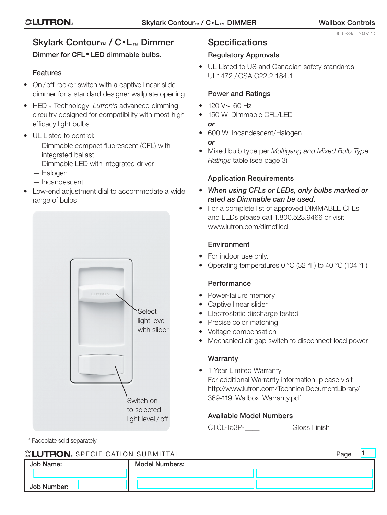369-334a 10.07.10

# Skylark Contour™ / C•L™ Dimmer

# Dimmer for CFL• LED dimmable bulbs.

# Features

- On / off rocker switch with a captive linear-slide dimmer for a standard designer wallplate opening
- • HED™ Technology: *Lutron's* advanced dimming circuitry designed for compatibility with most high efficacy light bulbs
- UL Listed to control:
	- Dimmable compact fluorescent (CFL) with integrated ballast
	- Dimmable LED with integrated driver
	- Halogen
	- Incandescent
- Low-end adjustment dial to accommodate a wide range of bulbs



\* Faceplate sold separately

# **Specifications**

# Regulatory Approvals

• UL Listed to US and Canadian safety standards UL1472 / CSA C22.2 184.1

# Power and Ratings

- $120 V ~ 60 Hz$
- 150 W Dimmable CFL/LED *or*
- 600 W Incandescent/Halogen *or*
- • Mixed bulb type per *Multigang and Mixed Bulb Type Ratings* table (see page 3)

# Application Requirements

- • *When using CFLs or LEDs, only bulbs marked or rated as Dimmable can be used.*
- For a complete list of approved DIMMABLE CFLs and LEDs please call 1.800.523.9466 or visit www.lutron.com/dimcflled

## Environment

- For indoor use only.
- Operating temperatures 0 °C (32 °F) to 40 °C (104 °F).

# **Performance**

- Power-failure memory
- Captive linear slider
- Electrostatic discharge tested
- Precise color matching
- Voltage compensation
- Mechanical air-gap switch to disconnect load power

# **Warranty**

• 1 Year Limited Warranty For additional Warranty information, please visit http://www.lutron.com/TechnicalDocumentLibrary/ 369-119\_Wallbox\_Warranty.pdf

# Available Model Numbers

CTCL-153P-<br>
Gloss Finish

| <b>ILUTRON</b> SPECIFICATION SUBMITTAL |                       |  |  |
|----------------------------------------|-----------------------|--|--|
| Job Name:                              | <b>Model Numbers:</b> |  |  |
|                                        |                       |  |  |
| Job Number:                            |                       |  |  |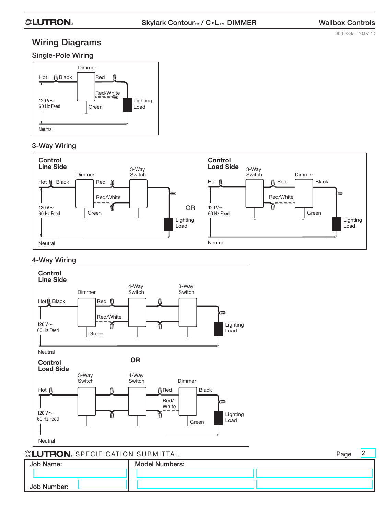## **« EUTRON**» Skylark Contour<sub>™</sub> / C•L<sub>™</sub> DIMMER Wallbox Controls

369-334a 10.07.10

 $\sqrt{2}$ 

# Wiring Diagrams

### Single-Pole Wiring



### 3-Way Wiring



### 4-Way Wiring



## Specification Submittal Page

| Job Name:   | <b>Model Numbers:</b> | . ago |
|-------------|-----------------------|-------|
|             |                       |       |
| Job Number: |                       |       |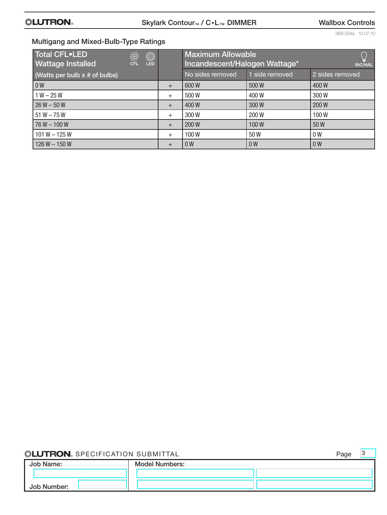369-334a 10.07.10

## Multigang and Mixed-Bulb-Type Ratings

| Total CFL•LED<br>▒<br><b>Wattage Installed</b><br>CFI<br><b>LED</b> |        | <b>Maximum Allowable</b><br>Incandescent/Halogen Wattage* |                | <b>INC/HAL</b>  |
|---------------------------------------------------------------------|--------|-----------------------------------------------------------|----------------|-----------------|
| (Watts per bulb $x \#$ of bulbs)                                    |        | No sides removed                                          | side removed   | 2 sides removed |
| 0 <sub>W</sub>                                                      | $^{+}$ | 600W                                                      | 500W           | 400W            |
| $1 W - 25 W$                                                        | $^{+}$ | 500W                                                      | 400W           | 300W            |
| $26 W - 50 W$                                                       | $^{+}$ | 400W                                                      | 300W           | 200W            |
| $51 W - 75 W$                                                       | $^{+}$ | 300W                                                      | 200W           | 100W            |
| $76 W - 100 W$                                                      | $+$    | 200 W                                                     | 100W           | 50 W            |
| $101 W - 125 W$                                                     | $^{+}$ | 100W                                                      | 50 W           | 0 <sub>W</sub>  |
| $126 W - 150 W$                                                     | $\pm$  | 0 <sub>W</sub>                                            | 0 <sub>W</sub> | 0 <sub>W</sub>  |

## **SELUTRON.** SPECIFICATION SUBMITTAL

| Page | IJ |
|------|----|
|      |    |
|      |    |

| .<br>Job Name: | <b>Model Numbers:</b> |  |
|----------------|-----------------------|--|
|                |                       |  |
| Job Number:    |                       |  |